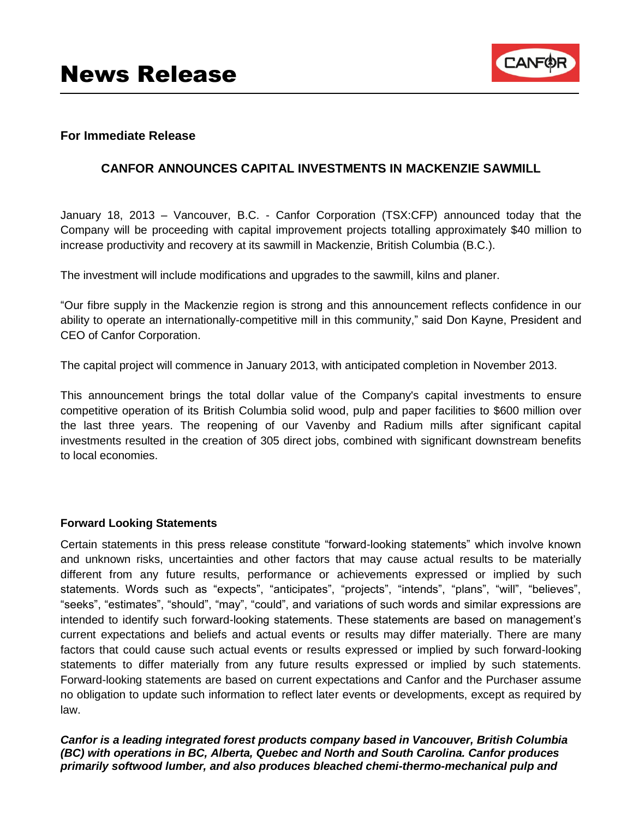

## **For Immediate Release**

## **CANFOR ANNOUNCES CAPITAL INVESTMENTS IN MACKENZIE SAWMILL**

January 18, 2013 – Vancouver, B.C. - Canfor Corporation (TSX:CFP) announced today that the Company will be proceeding with capital improvement projects totalling approximately \$40 million to increase productivity and recovery at its sawmill in Mackenzie, British Columbia (B.C.).

The investment will include modifications and upgrades to the sawmill, kilns and planer.

"Our fibre supply in the Mackenzie region is strong and this announcement reflects confidence in our ability to operate an internationally-competitive mill in this community," said Don Kayne, President and CEO of Canfor Corporation.

The capital project will commence in January 2013, with anticipated completion in November 2013.

This announcement brings the total dollar value of the Company's capital investments to ensure competitive operation of its British Columbia solid wood, pulp and paper facilities to \$600 million over the last three years. The reopening of our Vavenby and Radium mills after significant capital investments resulted in the creation of 305 direct jobs, combined with significant downstream benefits to local economies.

## **Forward Looking Statements**

Certain statements in this press release constitute "forward-looking statements" which involve known and unknown risks, uncertainties and other factors that may cause actual results to be materially different from any future results, performance or achievements expressed or implied by such statements. Words such as "expects", "anticipates", "projects", "intends", "plans", "will", "believes", "seeks", "estimates", "should", "may", "could", and variations of such words and similar expressions are intended to identify such forward-looking statements. These statements are based on management's current expectations and beliefs and actual events or results may differ materially. There are many factors that could cause such actual events or results expressed or implied by such forward-looking statements to differ materially from any future results expressed or implied by such statements. Forward-looking statements are based on current expectations and Canfor and the Purchaser assume no obligation to update such information to reflect later events or developments, except as required by law.

*Canfor is a leading integrated forest products company based in Vancouver, British Columbia (BC) with operations in BC, Alberta, Quebec and North and South Carolina. Canfor produces primarily softwood lumber, and also produces bleached chemi-thermo-mechanical pulp and*